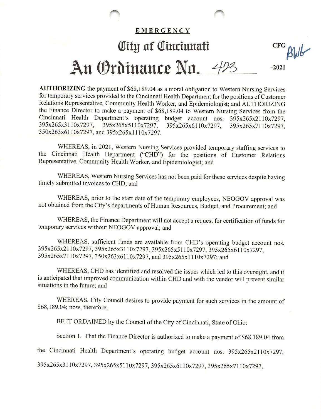## EMERGENCY Olttg 0f Olmrinnatt cfg An Ordinance Nn. 423  $-2021$

AUTHORIZING the payment of \$68,189.04 as a moral obligation to Western Nursing Services for temporary services provided to the Cincinnati Health Department for the positions of Customer Relations Representative, Community Health Worker, and Epidemiologist; and AUTHORIZING the Finance Director to make a payment of \$68,189.04 to Western Nursing Services from the Cincinnati Health Department's operating budget account nos. 395x265x2110x7297, 395x265x3110x7297, 395x265x5110x7297, 395x265x6110x7297, 395x265x7110x7297, 350x263x6110x7297, and 395x265x1110x7297.

WHEREAS, in 2021, Western Nursing Services provided temporary staffing services to the Cincinnati Health Department ("CHD") for the positions of Customer Relations Representative, Community Health Worker, and Epidemiologist; and

WHEREAS, Western Nursing Services has not been paid for these services despite having timely submitted invoices to CHD; and

WHEREAS, prior to the start date of the temporary employees, NEOGOV approval was not obtained from the City's departments of Human Resources, Budget, and Procurement; and

WHEREAS, the Finance Department will not accept a request for certification of funds for temporary services without NEOGOV approval; and

WHEREAS, sufficient funds are available from CHD's operating budget account nos. 395x265x2110x7297, 395x265x3110x7297, 395x265x5110x7297, 395x265x6110x7297, 395x265x7110x7297, 350x263x6110x7297, and 395x265x1110x7297; and

WHEREAS, CHD has identified and resolved the issues which led to this oversight, and it is anticipated that improved communication within CHD and with the vendor will prevent similar situations in the future; and

WHEREAS, City Council desires to provide payment for such services in the amount of \$68,189.04; now, therefore,

BE IT ORDAINED by the Council of the City of Cincinnati, State of Ohio;

Section 1. That the Finance Director is authorized to make a payment of \$68,189.04 from

the Cincinnati Health Department's operating budget account nos. 395x265x2110x7297,

395x265x3110x7297, 395x265x5110x7297, 395x265x6110x7297, 395x265x7110x7297,